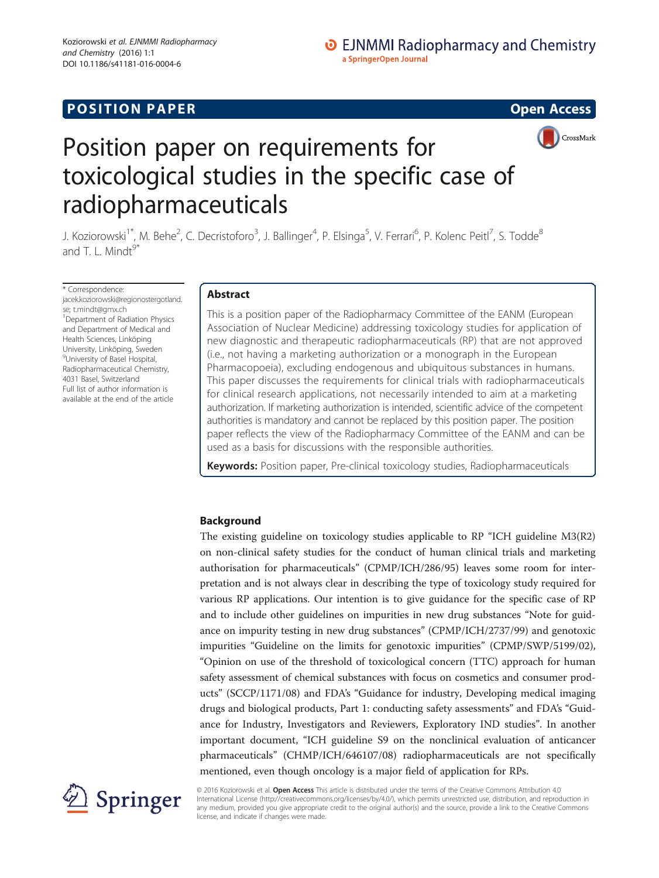# **POSITION PAPER CONSIGLER CONSIGLER CONSIGLER CONSIGLER CONSIGLER CONSIGLER**





# Position paper on requirements for toxicological studies in the specific case of radiopharmaceuticals

J. Koziorowski<sup>1\*</sup>, M. Behe<sup>2</sup>, C. Decristoforo<sup>3</sup>, J. Ballinger<sup>4</sup>, P. Elsinga<sup>5</sup>, V. Ferrari<sup>6</sup>, P. Kolenc Peitl<sup>7</sup>, S. Todde<sup>8</sup> and  $T \perp$  Mindt<sup>9t</sup>

\* Correspondence: [jacek.koziorowski@regionostergotland.](mailto:<?A3B2 twb=.27w?><?A3B2 tlsb=-.19pt?>jacek.koziorowski@regionostergotland.se) [se;](mailto:<?A3B2 twb=.27w?><?A3B2 tlsb=-.19pt?>jacek.koziorowski@regionostergotland.se) [t.mindt@gmx.ch](mailto:t.mindt@gmx.ch) <sup>1</sup> <sup>1</sup> Department of Radiation Physics and Department of Medical and Health Sciences, Linköping University, Linköping, Sweden 9 University of Basel Hospital, Radiopharmaceutical Chemistry, 4031 Basel, Switzerland Full list of author information is available at the end of the article

# Abstract

This is a position paper of the Radiopharmacy Committee of the EANM (European Association of Nuclear Medicine) addressing toxicology studies for application of new diagnostic and therapeutic radiopharmaceuticals (RP) that are not approved (i.e., not having a marketing authorization or a monograph in the European Pharmacopoeia), excluding endogenous and ubiquitous substances in humans. This paper discusses the requirements for clinical trials with radiopharmaceuticals for clinical research applications, not necessarily intended to aim at a marketing authorization. If marketing authorization is intended, scientific advice of the competent authorities is mandatory and cannot be replaced by this position paper. The position paper reflects the view of the Radiopharmacy Committee of the EANM and can be used as a basis for discussions with the responsible authorities.

Keywords: Position paper, Pre-clinical toxicology studies, Radiopharmaceuticals

# Background

The existing guideline on toxicology studies applicable to RP "[ICH guideline M3\(R2\)](#page--1-0) [on non-clinical safety studies for the conduct of human clinical trials and marketing](#page--1-0) [authorisation for pharmaceuticals](#page--1-0)" (CPMP/ICH/286/95) leaves some room for interpretation and is not always clear in describing the type of toxicology study required for various RP applications. Our intention is to give guidance for the specific case of RP and to include other guidelines on impurities in new drug substances "[Note for guid](#page--1-0)[ance on impurity testing in new drug substances](#page--1-0)" (CPMP/ICH/2737/99) and genotoxic impurities "[Guideline on the limits for genotoxic impurities](#page--1-0)" (CPMP/SWP/5199/02), "[Opinion on use of the threshold of toxicological concern \(TTC\) approach for human](#page--1-0) [safety assessment of chemical substances with focus on cosmetics and consumer prod](#page--1-0)ucts" [\(SCCP/1171/08\)](#page--1-0) and FDA's "[Guidance for industry, Developing medical imaging](#page--1-0) [drugs and biological products, Part 1: conducting safety assessments](#page--1-0)" and FDA's "[Guid](#page--1-0)[ance for Industry, Investigators and Reviewers, Exploratory IND studies](#page--1-0)". In another important document, "[ICH guideline S9 on the nonclinical evaluation of anticancer](#page--1-0) pharmaceuticals" [\(CHMP/ICH/646107/08\)](#page--1-0) radiopharmaceuticals are not specifically mentioned, even though oncology is a major field of application for RPs.



© 2016 Koziorowski et al. Open Access This article is distributed under the terms of the Creative Commons Attribution 4.0 International License ([http://creativecommons.org/licenses/by/4.0/\)](http://creativecommons.org/licenses/by/4.0/), which permits unrestricted use, distribution, and reproduction in any medium, provided you give appropriate credit to the original author(s) and the source, provide a link to the Creative Commons license, and indicate if changes were made.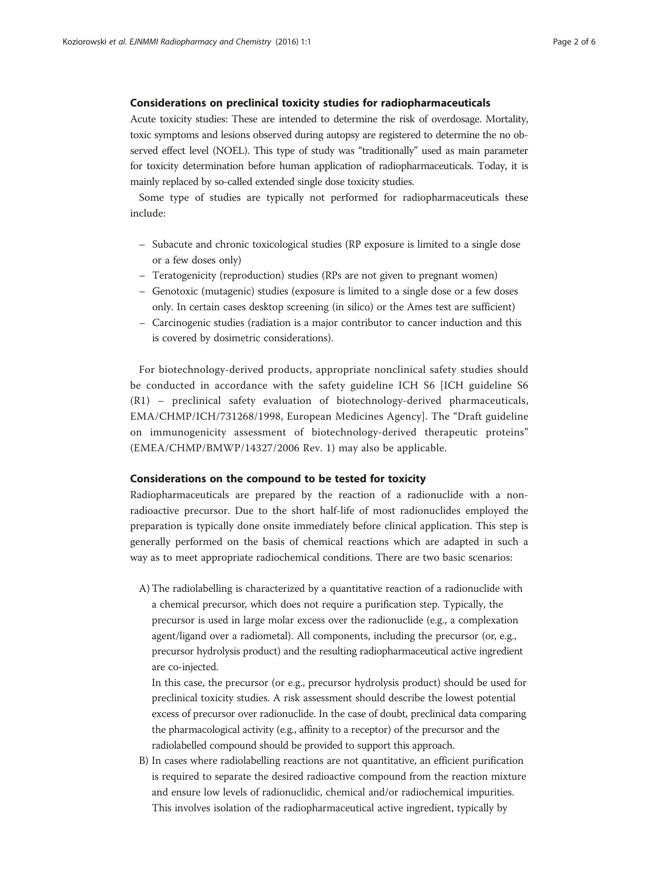# Considerations on preclinical toxicity studies for radiopharmaceuticals

Acute toxicity studies: These are intended to determine the risk of overdosage. Mortality, toxic symptoms and lesions observed during autopsy are registered to determine the no observed effect level (NOEL). This type of study was "traditionally" used as main parameter for toxicity determination before human application of radiopharmaceuticals. Today, it is mainly replaced by so-called extended single dose toxicity studies.

Some type of studies are typically not performed for radiopharmaceuticals these include:

- Subacute and chronic toxicological studies (RP exposure is limited to a single dose or a few doses only)
- Teratogenicity (reproduction) studies (RPs are not given to pregnant women)
- Genotoxic (mutagenic) studies (exposure is limited to a single dose or a few doses only. In certain cases desktop screening (in silico) or the Ames test are sufficient)
- Carcinogenic studies (radiation is a major contributor to cancer induction and this is covered by dosimetric considerations).

For biotechnology-derived products, appropriate nonclinical safety studies should be conducted in accordance with the safety guideline ICH S6 [\[ICH guideline S6](#page--1-0) (R1) – [preclinical safety evaluation of biotechnology-derived pharmaceuticals,](#page--1-0) [EMA/CHMP/ICH/731268/1998, European Medicines Agency](#page--1-0)]. The "[Draft guideline](#page--1-0) [on immunogenicity assessment of biotechnology-derived therapeutic proteins](#page--1-0)" [\(EMEA/CHMP/BMWP/14327/2006 Rev. 1\)](#page--1-0) may also be applicable.

# Considerations on the compound to be tested for toxicity

Radiopharmaceuticals are prepared by the reaction of a radionuclide with a nonradioactive precursor. Due to the short half-life of most radionuclides employed the preparation is typically done onsite immediately before clinical application. This step is generally performed on the basis of chemical reactions which are adapted in such a way as to meet appropriate radiochemical conditions. There are two basic scenarios:

A) The radiolabelling is characterized by a quantitative reaction of a radionuclide with a chemical precursor, which does not require a purification step. Typically, the precursor is used in large molar excess over the radionuclide (e.g., a complexation agent/ligand over a radiometal). All components, including the precursor (or, e.g., precursor hydrolysis product) and the resulting radiopharmaceutical active ingredient are co-injected.

In this case, the precursor (or e.g., precursor hydrolysis product) should be used for preclinical toxicity studies. A risk assessment should describe the lowest potential excess of precursor over radionuclide. In the case of doubt, preclinical data comparing the pharmacological activity (e.g., affinity to a receptor) of the precursor and the radiolabelled compound should be provided to support this approach.

B) In cases where radiolabelling reactions are not quantitative, an efficient purification is required to separate the desired radioactive compound from the reaction mixture and ensure low levels of radionuclidic, chemical and/or radiochemical impurities. This involves isolation of the radiopharmaceutical active ingredient, typically by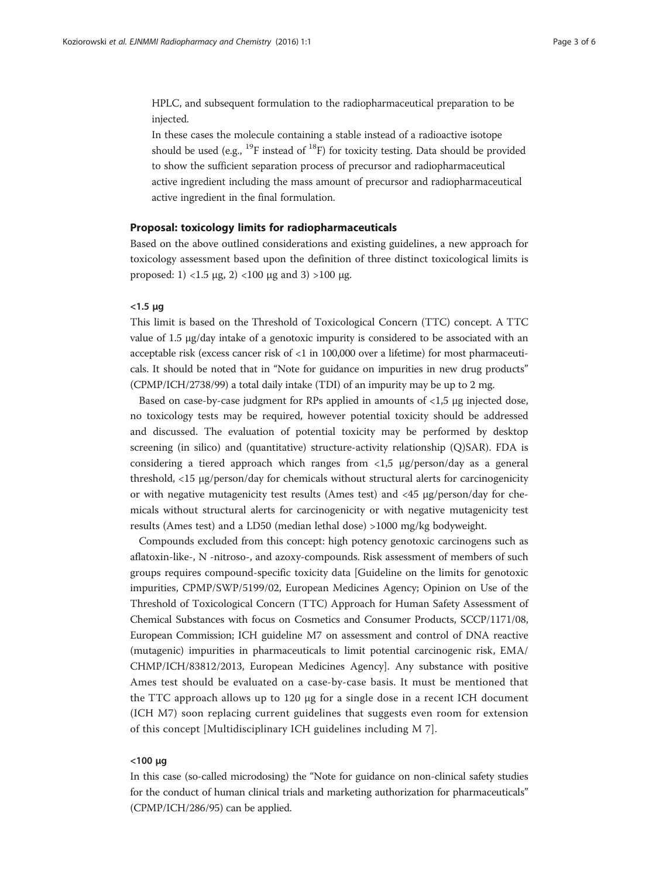<span id="page-2-0"></span>HPLC, and subsequent formulation to the radiopharmaceutical preparation to be injected.

In these cases the molecule containing a stable instead of a radioactive isotope should be used (e.g.,  $^{19}F$  instead of  $^{18}F$ ) for toxicity testing. Data should be provided to show the sufficient separation process of precursor and radiopharmaceutical active ingredient including the mass amount of precursor and radiopharmaceutical active ingredient in the final formulation.

# Proposal: toxicology limits for radiopharmaceuticals

Based on the above outlined considerations and existing guidelines, a new approach for toxicology assessment based upon the definition of three distinct toxicological limits is proposed: 1) <1.5 μg, 2) <100 μg and 3) >100 μg.

# $<$ 1.5 μg

This limit is based on the Threshold of Toxicological Concern (TTC) concept. A TTC value of 1.5 μg/day intake of a genotoxic impurity is considered to be associated with an acceptable risk (excess cancer risk of <1 in 100,000 over a lifetime) for most pharmaceuticals. It should be noted that in "[Note for guidance on impurities in new drug products](#page--1-0)" [\(CPMP/ICH/2738/99\)](#page--1-0) a total daily intake (TDI) of an impurity may be up to 2 mg.

Based on case-by-case judgment for RPs applied in amounts of <1,5 μg injected dose, no toxicology tests may be required, however potential toxicity should be addressed and discussed. The evaluation of potential toxicity may be performed by desktop screening (in silico) and (quantitative) structure-activity relationship (Q)SAR). FDA is considering a tiered approach which ranges from  $\langle 1,5 \ \mu g / \text{person/day}$  as a general threshold, <15 μg/person/day for chemicals without structural alerts for carcinogenicity or with negative mutagenicity test results (Ames test) and <45 μg/person/day for chemicals without structural alerts for carcinogenicity or with negative mutagenicity test results (Ames test) and a LD50 (median lethal dose) >1000 mg/kg bodyweight.

Compounds excluded from this concept: high potency genotoxic carcinogens such as aflatoxin-like-, N -nitroso-, and azoxy-compounds. Risk assessment of members of such groups requires compound-specific toxicity data [[Guideline on the limits for genotoxic](#page--1-0) [impurities, CPMP/SWP/5199/02, European Medicines Agency; Opinion on Use of the](#page--1-0) [Threshold of Toxicological Concern \(TTC\) Approach for Human Safety Assessment of](#page--1-0) [Chemical Substances with focus on Cosmetics and Consumer Products, SCCP/1171/08,](#page--1-0) [European Commission; ICH guideline M7 on assessment and control of DNA reactive](#page--1-0) [\(mutagenic\) impurities in pharmaceuticals to limit potential carcinogenic risk, EMA/](#page--1-0) [CHMP/ICH/83812/2013, European Medicines Agency\]](#page--1-0). Any substance with positive Ames test should be evaluated on a case-by-case basis. It must be mentioned that the TTC approach allows up to 120 μg for a single dose in a recent ICH document (ICH M7) soon replacing current guidelines that suggests even room for extension of this concept [[Multidisciplinary ICH guidelines including M 7\]](#page--1-0).

# $<$ 100 μg

In this case (so-called microdosing) the "[Note for guidance on non-clinical safety studies](#page--1-0) [for the conduct of human clinical trials and marketing authorization for pharmaceuticals](#page--1-0)" [\(CPMP/ICH/286/95\)](#page--1-0) can be applied.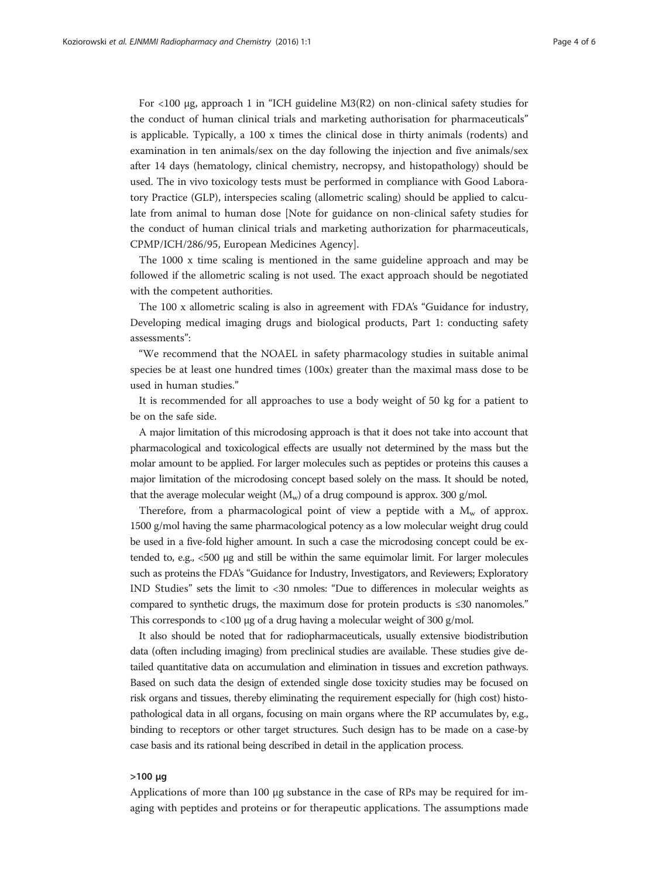For <100 μg, approach 1 in "[ICH guideline M3\(R2\) on non-clinical safety studies for](#page--1-0) [the conduct of human clinical trials and marketing authorisation for pharmaceuticals](#page--1-0)" is applicable. Typically, a 100 x times the clinical dose in thirty animals (rodents) and examination in ten animals/sex on the day following the injection and five animals/sex after 14 days (hematology, clinical chemistry, necropsy, and histopathology) should be used. The in vivo toxicology tests must be performed in compliance with Good Laboratory Practice (GLP), interspecies scaling (allometric scaling) should be applied to calculate from animal to human dose [[Note for guidance on non-clinical safety studies for](#page--1-0) [the conduct of human clinical trials and marketing authorization for pharmaceuticals,](#page--1-0) [CPMP/ICH/286/95, European Medicines Agency](#page--1-0)].

The 1000 x time scaling is mentioned in the same guideline approach and may be followed if the allometric scaling is not used. The exact approach should be negotiated with the competent authorities.

The 100 x allometric scaling is also in agreement with FDA's "[Guidance for industry,](#page--1-0) [Developing medical imaging drugs and biological products, Part 1: conducting safety](#page--1-0) [assessments](#page--1-0)":

"We recommend that the NOAEL in safety pharmacology studies in suitable animal species be at least one hundred times (100x) greater than the maximal mass dose to be used in human studies."

It is recommended for all approaches to use a body weight of 50 kg for a patient to be on the safe side.

A major limitation of this microdosing approach is that it does not take into account that pharmacological and toxicological effects are usually not determined by the mass but the molar amount to be applied. For larger molecules such as peptides or proteins this causes a major limitation of the microdosing concept based solely on the mass. It should be noted, that the average molecular weight  $(M_w)$  of a drug compound is approx. 300 g/mol.

Therefore, from a pharmacological point of view a peptide with a  $M_w$  of approx. 1500 g/mol having the same pharmacological potency as a low molecular weight drug could be used in a five-fold higher amount. In such a case the microdosing concept could be extended to, e.g., <500 μg and still be within the same equimolar limit. For larger molecules such as proteins the FDA's "[Guidance for Industry, Investigators, and Reviewers; Exploratory](#page--1-0) [IND Studies](#page--1-0)" sets the limit to <30 nmoles: "Due to differences in molecular weights as compared to synthetic drugs, the maximum dose for protein products is ≤30 nanomoles." This corresponds to <100 μg of a drug having a molecular weight of 300 g/mol.

It also should be noted that for radiopharmaceuticals, usually extensive biodistribution data (often including imaging) from preclinical studies are available. These studies give detailed quantitative data on accumulation and elimination in tissues and excretion pathways. Based on such data the design of extended single dose toxicity studies may be focused on risk organs and tissues, thereby eliminating the requirement especially for (high cost) histopathological data in all organs, focusing on main organs where the RP accumulates by, e.g., binding to receptors or other target structures. Such design has to be made on a case-by case basis and its rational being described in detail in the application process.

# >100 μg

Applications of more than 100 μg substance in the case of RPs may be required for imaging with peptides and proteins or for therapeutic applications. The assumptions made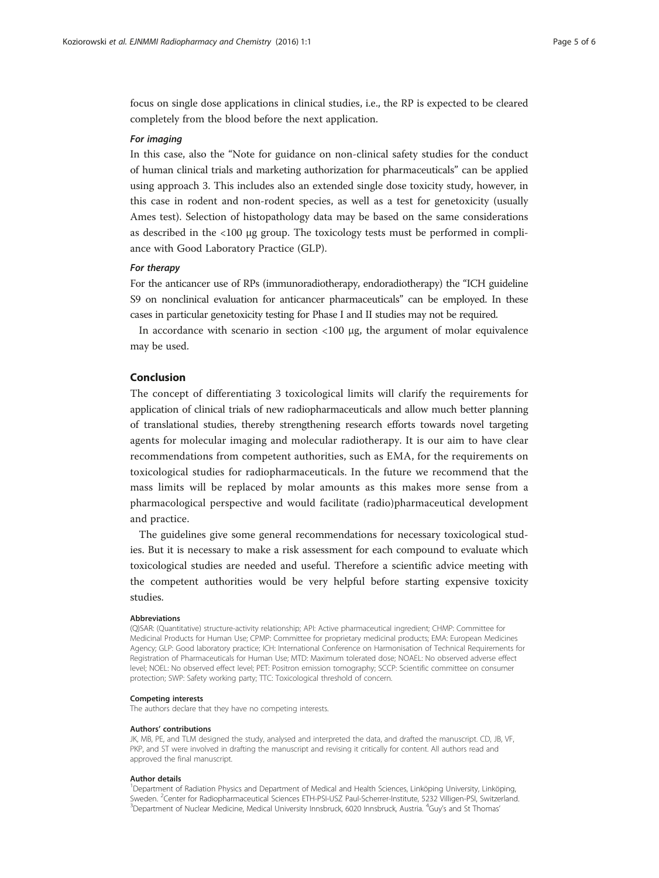focus on single dose applications in clinical studies, i.e., the RP is expected to be cleared completely from the blood before the next application.

In this case, also the "[Note for guidance on non-clinical safety studies for the conduct](#page--1-0) [of human clinical trials and marketing authorization for pharmaceuticals](#page--1-0)" can be applied using approach 3. This includes also an extended single dose toxicity study, however, in this case in rodent and non-rodent species, as well as a test for genetoxicity (usually Ames test). Selection of histopathology data may be based on the same considerations as described in the <100 μg group. The toxicology tests must be performed in compliance with Good Laboratory Practice (GLP).

For the anticancer use of RPs (immunoradiotherapy, endoradiotherapy) the "[ICH guideline](#page--1-0) [S9 on nonclinical evaluation for anticancer pharmaceuticals](#page--1-0)" can be employed. In these cases in particular genetoxicity testing for Phase I and II studies may not be required.

In accordance with scenario in section  $<100 \mu g$ , the argument of molar equivalence may be used.

# Conclusion

The concept of differentiating 3 toxicological limits will clarify the requirements for application of clinical trials of new radiopharmaceuticals and allow much better planning of translational studies, thereby strengthening research efforts towards novel targeting agents for molecular imaging and molecular radiotherapy. It is our aim to have clear recommendations from competent authorities, such as EMA, for the requirements on toxicological studies for radiopharmaceuticals. In the future we recommend that the mass limits will be replaced by molar amounts as this makes more sense from a pharmacological perspective and would facilitate (radio)pharmaceutical development and practice.

The guidelines give some general recommendations for necessary toxicological studies. But it is necessary to make a risk assessment for each compound to evaluate which toxicological studies are needed and useful. Therefore a scientific advice meeting with the competent authorities would be very helpful before starting expensive toxicity studies.

### Abbreviations

(Q)SAR: (Quantitative) structure-activity relationship; API: Active pharmaceutical ingredient; CHMP: Committee for Medicinal Products for Human Use; CPMP: Committee for proprietary medicinal products; EMA: European Medicines Agency; GLP: Good laboratory practice; ICH: International Conference on Harmonisation of Technical Requirements for Registration of Pharmaceuticals for Human Use; MTD: Maximum tolerated dose; NOAEL: No observed adverse effect level; NOEL: No observed effect level; PET: Positron emission tomography; SCCP: Scientific committee on consumer protection; SWP: Safety working party; TTC: Toxicological threshold of concern.

### Competing interests

The authors declare that they have no competing interests.

### Authors' contributions

JK, MB, PE, and TLM designed the study, analysed and interpreted the data, and drafted the manuscript. CD, JB, VF, PKP, and ST were involved in drafting the manuscript and revising it critically for content. All authors read and approved the final manuscript.

### Author details

1 Department of Radiation Physics and Department of Medical and Health Sciences, Linköping University, Linköping, Sweden. <sup>2</sup>Center for Radiopharmaceutical Sciences ETH-PSI-USZ Paul-Scherrer-Institute, 5232 Villigen-PSI, Switzerland.<br><sup>3</sup>Dopartment of Nuclear Medicine, Medical University Inschruck 6020 Innshruck, Austria, <sup>4</sup>Guy's and Department of Nuclear Medicine, Medical University Innsbruck, 6020 Innsbruck, Austria. <sup>4</sup>Guy's and St Thomas'